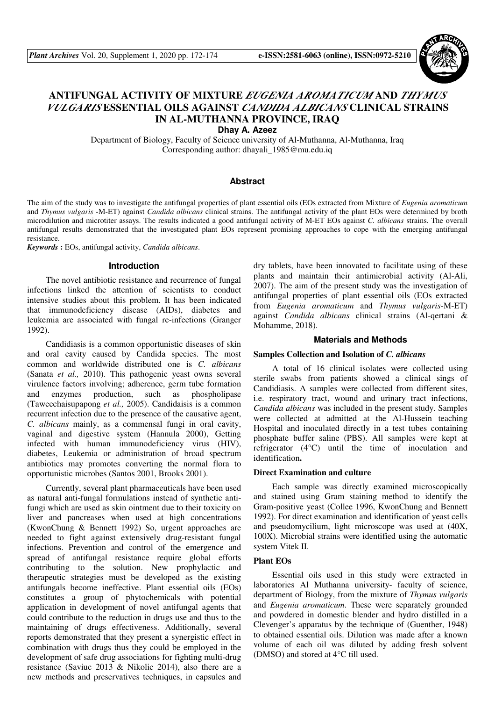

# **ANTIFUNGAL ACTIVITY OF MIXTURE** *EUGENIA AROMATICUM* **AND** *THYMUS VULGARIS* **ESSENTIAL OILS AGAINST** *CANDIDA ALBICANS* **CLINICAL STRAINS IN AL-MUTHANNA PROVINCE, IRAQ**

**Dhay A. Azeez** 

Department of Biology, Faculty of Science university of Al-Muthanna, Al-Muthanna, Iraq Corresponding author: dhayali\_1985@mu.edu.iq

#### **Abstract**

The aim of the study was to investigate the antifungal properties of plant essential oils (EOs extracted from Mixture of *Eugenia aromaticum*  and *Thymus vulgaris* -M-ET) against *Candida albicans* clinical strains. The antifungal activity of the plant EOs were determined by broth microdilution and microtiter assays. The results indicated a good antifungal activity of M-ET EOs against *C. albicans* strains. The overall antifungal results demonstrated that the investigated plant EOs represent promising approaches to cope with the emerging antifungal resistance.

*Keywords* **:** EOs, antifungal activity, *Candida albicans*.

#### **Introduction**

The novel antibiotic resistance and recurrence of fungal infections linked the attention of scientists to conduct intensive studies about this problem. It has been indicated that immunodeficiency disease (AIDs), diabetes and leukemia are associated with fungal re-infections (Granger 1992).

Candidiasis is a common opportunistic diseases of skin and oral cavity caused by Candida species. The most common and worldwide distributed one is *C. albicans* (Sanata *et al.,* 2010). This pathogenic yeast owns several virulence factors involving; adherence, germ tube formation and enzymes production, such as phospholipase (Taweechaisupapong *et al.,* 2005). Candidaisis is a common recurrent infection due to the presence of the causative agent, *C. albicans* mainly, as a commensal fungi in oral cavity, vaginal and digestive system (Hannula 2000), Getting infected with human immunodeficiency virus (HIV), diabetes, Leukemia or administration of broad spectrum antibiotics may promotes converting the normal flora to opportunistic microbes (Santos 2001, Brooks 2001).

Currently, several plant pharmaceuticals have been used as natural anti-fungal formulations instead of synthetic antifungi which are used as skin ointment due to their toxicity on liver and pancreases when used at high concentrations (KwonChung & Bennett 1992) So, urgent approaches are needed to fight against extensively drug-resistant fungal infections. Prevention and control of the emergence and spread of antifungal resistance require global efforts contributing to the solution. New prophylactic and therapeutic strategies must be developed as the existing antifungals become ineffective. Plant essential oils (EOs) constitutes a group of phytochemicals with potential application in development of novel antifungal agents that could contribute to the reduction in drugs use and thus to the maintaining of drugs effectiveness. Additionally, several reports demonstrated that they present a synergistic effect in combination with drugs thus they could be employed in the development of safe drug associations for fighting multi-drug resistance (Saviuc 2013 & Nikolic 2014), also there are a new methods and preservatives techniques, in capsules and dry tablets, have been innovated to facilitate using of these plants and maintain their antimicrobial activity (Al-Ali, 2007). The aim of the present study was the investigation of antifungal properties of plant essential oils (EOs extracted from *Eugenia aromaticum* and *Thymus vulgaris*-M-ET) against *Candida albicans* clinical strains (Al-qertani & Mohamme, 2018).

### **Materials and Methods**

#### **Samples Collection and Isolation of** *C. albicans*

A total of 16 clinical isolates were collected using sterile swabs from patients showed a clinical sings of Candidiasis. A samples were collected from different sites, i.e. respiratory tract, wound and urinary tract infections, *Candida albicans* was included in the present study. Samples were collected at admitted at the Al-Hussein teaching Hospital and inoculated directly in a test tubes containing phosphate buffer saline (PBS). All samples were kept at refrigerator (4°C) until the time of inoculation and identification**.** 

## **Direct Examination and culture**

Each sample was directly examined microscopically and stained using Gram staining method to identify the Gram-positive yeast (Collee 1996, KwonChung and Bennett 1992). For direct examination and identification of yeast cells and pseudomycilium, light microscope was used at (40X, 100X). Microbial strains were identified using the automatic system Vitek II.

## **Plant EOs**

Essential oils used in this study were extracted in laboratories Al Muthanna university- faculty of science, department of Biology, from the mixture of *Thymus vulgaris*  and *Eugenia aromaticum*. These were separately grounded and powdered in domestic blender and hydro distilled in a Clevenger's apparatus by the technique of (Guenther, 1948) to obtained essential oils. Dilution was made after a known volume of each oil was diluted by adding fresh solvent (DMSO) and stored at 4°C till used.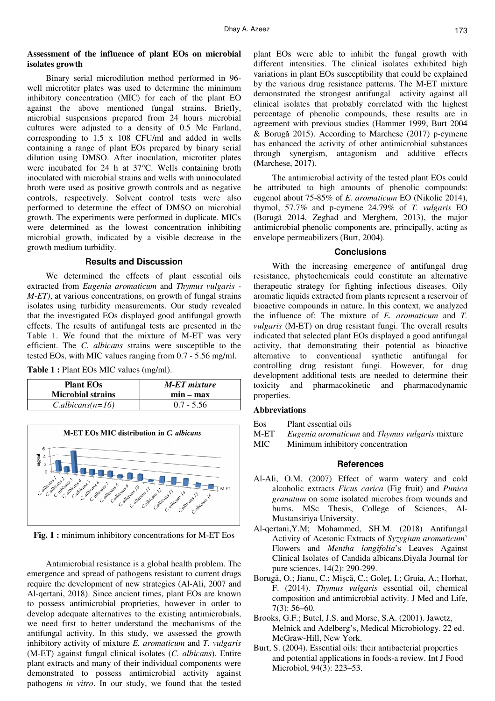# **Assessment of the influence of plant EOs on microbial isolates growth**

Binary serial microdilution method performed in 96 well microtiter plates was used to determine the minimum inhibitory concentration (MIC) for each of the plant EO against the above mentioned fungal strains. Briefly, microbial suspensions prepared from 24 hours microbial cultures were adjusted to a density of 0.5 Mc Farland, corresponding to 1.5 x 108 CFU/ml and added in wells containing a range of plant EOs prepared by binary serial dilution using DMSO. After inoculation, microtiter plates were incubated for 24 h at 37°C. Wells containing broth inoculated with microbial strains and wells with uninoculated broth were used as positive growth controls and as negative controls, respectively. Solvent control tests were also performed to determine the effect of DMSO on microbial growth. The experiments were performed in duplicate. MICs were determined as the lowest concentration inhibiting microbial growth, indicated by a visible decrease in the growth medium turbidity.

## **Results and Discussion**

We determined the effects of plant essential oils extracted from *Eugenia aromaticum* and *Thymus vulgaris - M-ET)*, at various concentrations, on growth of fungal strains isolates using turbidity measurements. Our study revealed that the investigated EOs displayed good antifungal growth effects. The results of antifungal tests are presented in the Table 1. We found that the mixture of M-ET was very efficient. The *C. albicans* strains were susceptible to the tested EOs, with MIC values ranging from 0.7 - 5.56 mg/ml.

**Table 1 :** Plant EOs MIC values (mg/ml).

| <b>Plant EOs</b>         | <b>M-ET</b> mixture |
|--------------------------|---------------------|
| <b>Microbial strains</b> | $min - max$         |
| $C. albicans(n=16)$      | $0.7 - 5.56$        |



**Fig. 1 :** minimum inhibitory concentrations for M-ET Eos

Antimicrobial resistance is a global health problem. The emergence and spread of pathogens resistant to current drugs require the development of new strategies (Al-Ali, 2007 and Al-qertani, 2018). Since ancient times, plant EOs are known to possess antimicrobial proprieties, however in order to develop adequate alternatives to the existing antimicrobials, we need first to better understand the mechanisms of the antifungal activity. In this study, we assessed the growth inhibitory activity of mixture *E. aromaticum* and *T. vulgaris*  (M-ET) against fungal clinical isolates (*C. albicans*). Entire plant extracts and many of their individual components were demonstrated to possess antimicrobial activity against pathogens *in vitro*. In our study, we found that the tested plant EOs were able to inhibit the fungal growth with different intensities. The clinical isolates exhibited high variations in plant EOs susceptibility that could be explained by the various drug resistance patterns. The M-ET mixture demonstrated the strongest antifungal activity against all clinical isolates that probably correlated with the highest percentage of phenolic compounds, these results are in agreement with previous studies (Hammer 1999, Burt 2004 & Borugă 2015). According to Marchese (2017) p-cymene has enhanced the activity of other antimicrobial substances through synergism, antagonism and additive effects (Marchese, 2017).

The antimicrobial activity of the tested plant EOs could be attributed to high amounts of phenolic compounds: eugenol about 75-85% of *E. aromaticum* EO (Nikolic 2014), thymol, 57.7% and p-cymene 24.79% of *T. vulgaris* EO (Borugă 2014, Zeghad and Merghem, 2013), the major antimicrobial phenolic components are, principally, acting as envelope permeabilizers (Burt, 2004).

#### **Conclusions**

With the increasing emergence of antifungal drug resistance, phytochemicals could constitute an alternative therapeutic strategy for fighting infectious diseases. Oily aromatic liquids extracted from plants represent a reservoir of bioactive compounds in nature. In this context, we analyzed the influence of: The mixture of *E. aromaticum* and *T. vulgaris* (M-ET) on drug resistant fungi. The overall results indicated that selected plant EOs displayed a good antifungal activity, that demonstrating their potential as bioactive alternative to conventional synthetic antifungal for controlling drug resistant fungi. However, for drug development additional tests are needed to determine their toxicity and pharmacokinetic and pharmacodynamic properties.

## **Abbreviations**

- Eos Plant essential oils
- M-ET *Eugenia aromaticum* and *Thymus vulgaris* mixture
- MIC Minimum inhibitory concentration

### **References**

- Al-Ali, O.M. (2007) Effect of warm watery and cold alcoholic extracts *Ficus carica* (Fig fruit) and *Punica granatum* on some isolated microbes from wounds and burns. MSc Thesis, College of Sciences, Al-Mustansiriya University.
- Al-qertani,Y.M; Mohammed, SH.M. (2018) Antifungal Activity of Acetonic Extracts of *Syzygium aromaticum*' Flowers and *Mentha longifolia*'s Leaves Against Clinical Isolates of Candida albicans.Diyala Journal for pure sciences, 14(2): 290-299.
- Borugă, O.; Jianu, C.; Mişcă, C.; Goleţ, I.; Gruia, A.; Horhat, F. (2014). *Thymus vulgaris* essential oil, chemical composition and antimicrobial activity. J Med and Life, 7(3): 56–60.
- Brooks, G.F.; Butel, J.S. and Morse, S.A. (2001). Jawetz, Melnick and Adelberg's, Medical Microbiology. 22 ed. McGraw-Hill, New York.
- Burt, S. (2004). Essential oils: their antibacterial properties and potential applications in foods-a review. Int J Food Microbiol, 94(3): 223–53.